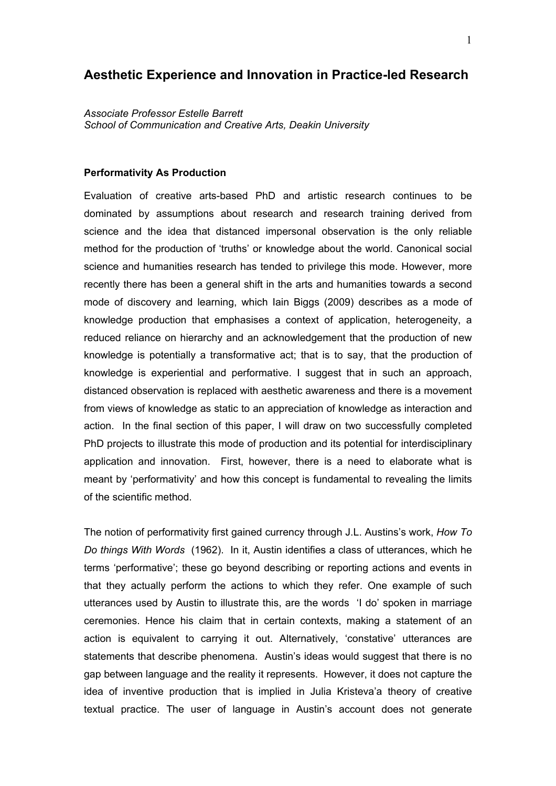# **Aesthetic Experience and Innovation in Practice-led Research**

*Associate Professor Estelle Barrett School of Communication and Creative Arts, Deakin University*

## **Performativity As Production**

Evaluation of creative arts-based PhD and artistic research continues to be dominated by assumptions about research and research training derived from science and the idea that distanced impersonal observation is the only reliable method for the production of 'truths' or knowledge about the world. Canonical social science and humanities research has tended to privilege this mode. However, more recently there has been a general shift in the arts and humanities towards a second mode of discovery and learning, which Iain Biggs (2009) describes as a mode of knowledge production that emphasises a context of application, heterogeneity, a reduced reliance on hierarchy and an acknowledgement that the production of new knowledge is potentially a transformative act; that is to say, that the production of knowledge is experiential and performative. I suggest that in such an approach, distanced observation is replaced with aesthetic awareness and there is a movement from views of knowledge as static to an appreciation of knowledge as interaction and action. In the final section of this paper, I will draw on two successfully completed PhD projects to illustrate this mode of production and its potential for interdisciplinary application and innovation. First, however, there is a need to elaborate what is meant by 'performativity' and how this concept is fundamental to revealing the limits of the scientific method.

The notion of performativity first gained currency through J.L. Austins's work, *How To Do things With Words* (1962). In it, Austin identifies a class of utterances, which he terms 'performative'; these go beyond describing or reporting actions and events in that they actually perform the actions to which they refer. One example of such utterances used by Austin to illustrate this, are the words 'I do' spoken in marriage ceremonies. Hence his claim that in certain contexts, making a statement of an action is equivalent to carrying it out. Alternatively, 'constative' utterances are statements that describe phenomena. Austin's ideas would suggest that there is no gap between language and the reality it represents. However, it does not capture the idea of inventive production that is implied in Julia Kristeva'a theory of creative textual practice. The user of language in Austin's account does not generate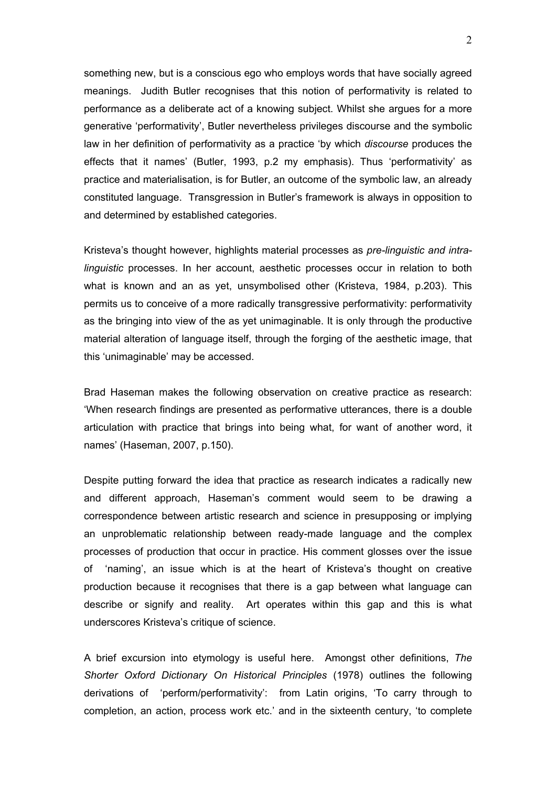something new, but is a conscious ego who employs words that have socially agreed meanings. Judith Butler recognises that this notion of performativity is related to performance as a deliberate act of a knowing subject. Whilst she argues for a more generative 'performativity', Butler nevertheless privileges discourse and the symbolic law in her definition of performativity as a practice 'by which *discourse* produces the effects that it names' (Butler, 1993, p.2 my emphasis). Thus 'performativity' as practice and materialisation, is for Butler, an outcome of the symbolic law, an already constituted language. Transgression in Butler's framework is always in opposition to and determined by established categories.

Kristeva's thought however, highlights material processes as *pre-linguistic and intralinguistic* processes. In her account, aesthetic processes occur in relation to both what is known and an as yet, unsymbolised other (Kristeva, 1984, p.203). This permits us to conceive of a more radically transgressive performativity: performativity as the bringing into view of the as yet unimaginable. It is only through the productive material alteration of language itself, through the forging of the aesthetic image, that this 'unimaginable' may be accessed.

Brad Haseman makes the following observation on creative practice as research: 'When research findings are presented as performative utterances, there is a double articulation with practice that brings into being what, for want of another word, it names' (Haseman, 2007, p.150).

Despite putting forward the idea that practice as research indicates a radically new and different approach, Haseman's comment would seem to be drawing a correspondence between artistic research and science in presupposing or implying an unproblematic relationship between ready-made language and the complex processes of production that occur in practice. His comment glosses over the issue of 'naming', an issue which is at the heart of Kristeva's thought on creative production because it recognises that there is a gap between what language can describe or signify and reality. Art operates within this gap and this is what underscores Kristeva's critique of science.

A brief excursion into etymology is useful here. Amongst other definitions, *The Shorter Oxford Dictionary On Historical Principles* (1978) outlines the following derivations of 'perform/performativity': from Latin origins, 'To carry through to completion, an action, process work etc.' and in the sixteenth century, 'to complete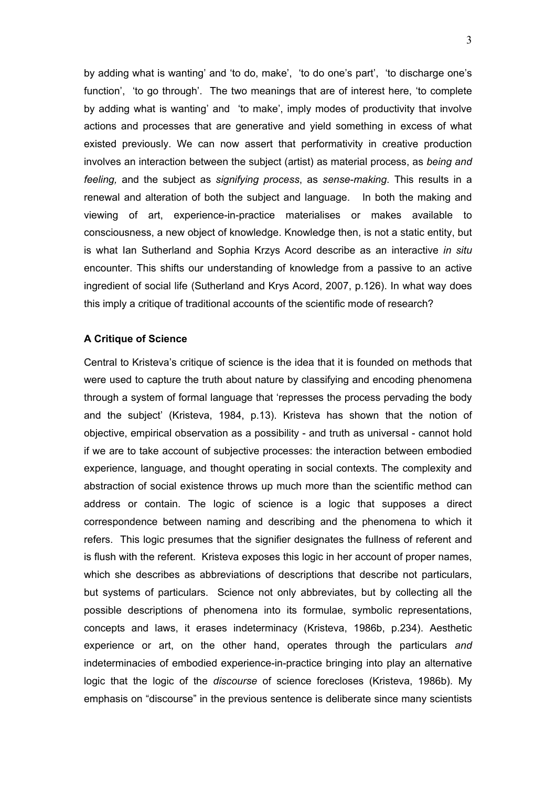by adding what is wanting' and 'to do, make', 'to do one's part', 'to discharge one's function', 'to go through'. The two meanings that are of interest here, 'to complete by adding what is wanting' and 'to make', imply modes of productivity that involve actions and processes that are generative and yield something in excess of what existed previously. We can now assert that performativity in creative production involves an interaction between the subject (artist) as material process, as *being and feeling,* and the subject as *signifying process*, as *sense-making*. This results in a renewal and alteration of both the subject and language. In both the making and viewing of art, experience-in-practice materialises or makes available to consciousness, a new object of knowledge. Knowledge then, is not a static entity, but is what Ian Sutherland and Sophia Krzys Acord describe as an interactive *in situ*  encounter. This shifts our understanding of knowledge from a passive to an active ingredient of social life (Sutherland and Krys Acord, 2007, p.126). In what way does this imply a critique of traditional accounts of the scientific mode of research?

# **A Critique of Science**

Central to Kristeva's critique of science is the idea that it is founded on methods that were used to capture the truth about nature by classifying and encoding phenomena through a system of formal language that 'represses the process pervading the body and the subject' (Kristeva, 1984, p.13). Kristeva has shown that the notion of objective, empirical observation as a possibility - and truth as universal - cannot hold if we are to take account of subjective processes: the interaction between embodied experience, language, and thought operating in social contexts. The complexity and abstraction of social existence throws up much more than the scientific method can address or contain. The logic of science is a logic that supposes a direct correspondence between naming and describing and the phenomena to which it refers. This logic presumes that the signifier designates the fullness of referent and is flush with the referent. Kristeva exposes this logic in her account of proper names, which she describes as abbreviations of descriptions that describe not particulars, but systems of particulars. Science not only abbreviates, but by collecting all the possible descriptions of phenomena into its formulae, symbolic representations, concepts and laws, it erases indeterminacy (Kristeva, 1986b, p.234). Aesthetic experience or art, on the other hand, operates through the particulars *and* indeterminacies of embodied experience-in-practice bringing into play an alternative logic that the logic of the *discourse* of science forecloses (Kristeva, 1986b). My emphasis on "discourse" in the previous sentence is deliberate since many scientists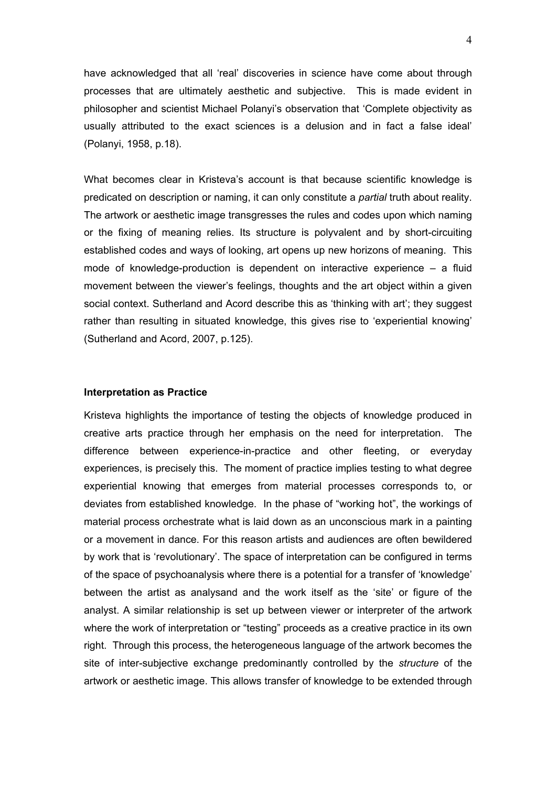have acknowledged that all 'real' discoveries in science have come about through processes that are ultimately aesthetic and subjective. This is made evident in philosopher and scientist Michael Polanyi's observation that 'Complete objectivity as usually attributed to the exact sciences is a delusion and in fact a false ideal' (Polanyi, 1958, p.18).

What becomes clear in Kristeva's account is that because scientific knowledge is predicated on description or naming, it can only constitute a *partial* truth about reality. The artwork or aesthetic image transgresses the rules and codes upon which naming or the fixing of meaning relies. Its structure is polyvalent and by short-circuiting established codes and ways of looking, art opens up new horizons of meaning. This mode of knowledge-production is dependent on interactive experience – a fluid movement between the viewer's feelings, thoughts and the art object within a given social context. Sutherland and Acord describe this as 'thinking with art'; they suggest rather than resulting in situated knowledge, this gives rise to 'experiential knowing' (Sutherland and Acord, 2007, p.125).

#### **Interpretation as Practice**

Kristeva highlights the importance of testing the objects of knowledge produced in creative arts practice through her emphasis on the need for interpretation. The difference between experience-in-practice and other fleeting, or everyday experiences, is precisely this. The moment of practice implies testing to what degree experiential knowing that emerges from material processes corresponds to, or deviates from established knowledge. In the phase of "working hot", the workings of material process orchestrate what is laid down as an unconscious mark in a painting or a movement in dance. For this reason artists and audiences are often bewildered by work that is 'revolutionary'. The space of interpretation can be configured in terms of the space of psychoanalysis where there is a potential for a transfer of 'knowledge' between the artist as analysand and the work itself as the 'site' or figure of the analyst. A similar relationship is set up between viewer or interpreter of the artwork where the work of interpretation or "testing" proceeds as a creative practice in its own right. Through this process, the heterogeneous language of the artwork becomes the site of inter-subjective exchange predominantly controlled by the *structure* of the artwork or aesthetic image. This allows transfer of knowledge to be extended through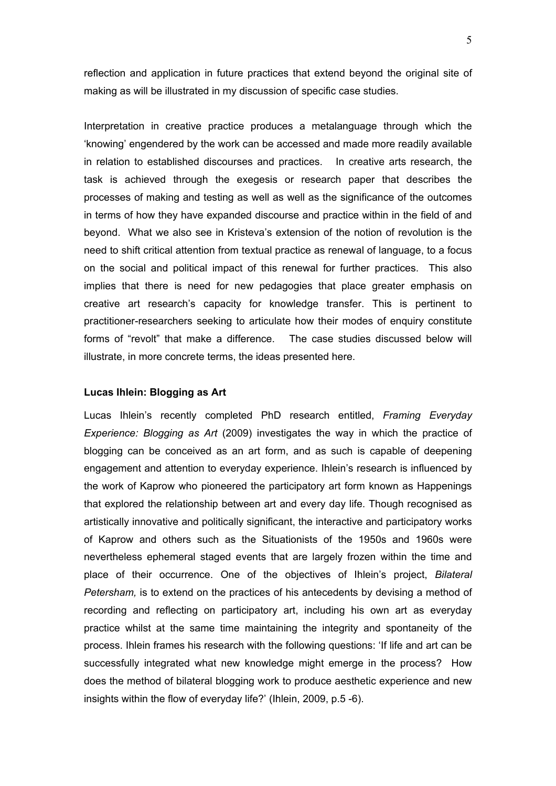reflection and application in future practices that extend beyond the original site of making as will be illustrated in my discussion of specific case studies.

Interpretation in creative practice produces a metalanguage through which the 'knowing' engendered by the work can be accessed and made more readily available in relation to established discourses and practices. In creative arts research, the task is achieved through the exegesis or research paper that describes the processes of making and testing as well as well as the significance of the outcomes in terms of how they have expanded discourse and practice within in the field of and beyond. What we also see in Kristeva's extension of the notion of revolution is the need to shift critical attention from textual practice as renewal of language, to a focus on the social and political impact of this renewal for further practices. This also implies that there is need for new pedagogies that place greater emphasis on creative art research's capacity for knowledge transfer. This is pertinent to practitioner-researchers seeking to articulate how their modes of enquiry constitute forms of "revolt" that make a difference. The case studies discussed below will illustrate, in more concrete terms, the ideas presented here.

## **Lucas Ihlein: Blogging as Art**

Lucas Ihlein's recently completed PhD research entitled, *Framing Everyday Experience: Blogging as Art* (2009) investigates the way in which the practice of blogging can be conceived as an art form, and as such is capable of deepening engagement and attention to everyday experience. Ihlein's research is influenced by the work of Kaprow who pioneered the participatory art form known as Happenings that explored the relationship between art and every day life. Though recognised as artistically innovative and politically significant, the interactive and participatory works of Kaprow and others such as the Situationists of the 1950s and 1960s were nevertheless ephemeral staged events that are largely frozen within the time and place of their occurrence. One of the objectives of Ihlein's project, *Bilateral Petersham,* is to extend on the practices of his antecedents by devising a method of recording and reflecting on participatory art, including his own art as everyday practice whilst at the same time maintaining the integrity and spontaneity of the process. Ihlein frames his research with the following questions: 'If life and art can be successfully integrated what new knowledge might emerge in the process? How does the method of bilateral blogging work to produce aesthetic experience and new insights within the flow of everyday life?' (Ihlein, 2009, p.5 -6).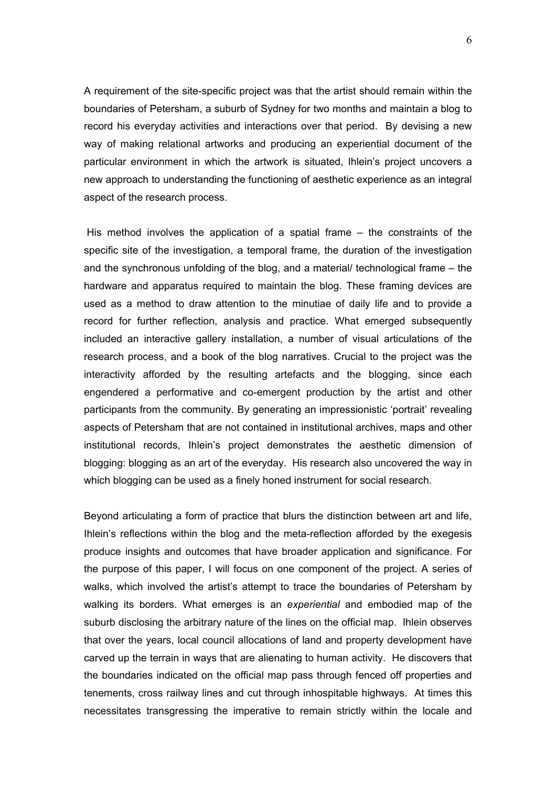A requirement of the site-specific project was that the artist should remain within the boundaries of Petersham, a suburb of Sydney for two months and maintain a blog to record his everyday activities and interactions over that period. By devising a new way of making relational artworks and producing an experiential document of the particular environment in which the artwork is situated, Ihlein's project uncovers a new approach to understanding the functioning of aesthetic experience as an integral aspect of the research process.

 His method involves the application of a spatial frame – the constraints of the specific site of the investigation, a temporal frame, the duration of the investigation and the synchronous unfolding of the blog, and a material/ technological frame – the hardware and apparatus required to maintain the blog. These framing devices are used as a method to draw attention to the minutiae of daily life and to provide a record for further reflection, analysis and practice. What emerged subsequently included an interactive gallery installation, a number of visual articulations of the research process, and a book of the blog narratives. Crucial to the project was the interactivity afforded by the resulting artefacts and the blogging, since each engendered a performative and co-emergent production by the artist and other participants from the community. By generating an impressionistic 'portrait' revealing aspects of Petersham that are not contained in institutional archives, maps and other institutional records, Ihlein's project demonstrates the aesthetic dimension of blogging: blogging as an art of the everyday. His research also uncovered the way in which blogging can be used as a finely honed instrument for social research.

Beyond articulating a form of practice that blurs the distinction between art and life, Ihlein's reflections within the blog and the meta-reflection afforded by the exegesis produce insights and outcomes that have broader application and significance. For the purpose of this paper, I will focus on one component of the project. A series of walks, which involved the artist's attempt to trace the boundaries of Petersham by walking its borders. What emerges is an *experiential* and embodied map of the suburb disclosing the arbitrary nature of the lines on the official map. Ihlein observes that over the years, local council allocations of land and property development have carved up the terrain in ways that are alienating to human activity. He discovers that the boundaries indicated on the official map pass through fenced off properties and tenements, cross railway lines and cut through inhospitable highways. At times this necessitates transgressing the imperative to remain strictly within the locale and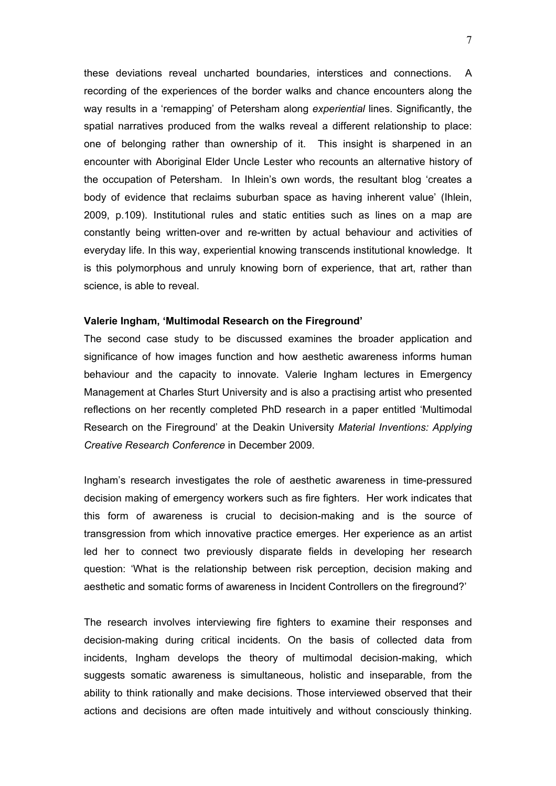these deviations reveal uncharted boundaries, interstices and connections. A recording of the experiences of the border walks and chance encounters along the way results in a 'remapping' of Petersham along *experiential* lines. Significantly, the spatial narratives produced from the walks reveal a different relationship to place: one of belonging rather than ownership of it. This insight is sharpened in an encounter with Aboriginal Elder Uncle Lester who recounts an alternative history of the occupation of Petersham. In Ihlein's own words, the resultant blog 'creates a body of evidence that reclaims suburban space as having inherent value' (Ihlein, 2009, p.109). Institutional rules and static entities such as lines on a map are constantly being written-over and re-written by actual behaviour and activities of everyday life. In this way, experiential knowing transcends institutional knowledge. It is this polymorphous and unruly knowing born of experience, that art, rather than science, is able to reveal.

### **Valerie Ingham, 'Multimodal Research on the Fireground'**

The second case study to be discussed examines the broader application and significance of how images function and how aesthetic awareness informs human behaviour and the capacity to innovate. Valerie Ingham lectures in Emergency Management at Charles Sturt University and is also a practising artist who presented reflections on her recently completed PhD research in a paper entitled 'Multimodal Research on the Fireground' at the Deakin University *Material Inventions: Applying Creative Research Conference* in December 2009.

Ingham's research investigates the role of aesthetic awareness in time-pressured decision making of emergency workers such as fire fighters. Her work indicates that this form of awareness is crucial to decision-making and is the source of transgression from which innovative practice emerges. Her experience as an artist led her to connect two previously disparate fields in developing her research question: 'What is the relationship between risk perception, decision making and aesthetic and somatic forms of awareness in Incident Controllers on the fireground?'

The research involves interviewing fire fighters to examine their responses and decision-making during critical incidents. On the basis of collected data from incidents, Ingham develops the theory of multimodal decision-making, which suggests somatic awareness is simultaneous, holistic and inseparable, from the ability to think rationally and make decisions. Those interviewed observed that their actions and decisions are often made intuitively and without consciously thinking.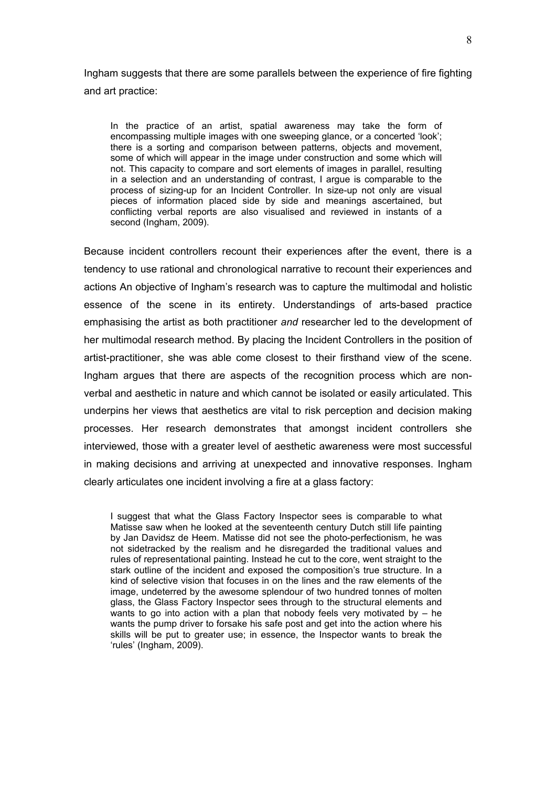Ingham suggests that there are some parallels between the experience of fire fighting and art practice:

In the practice of an artist, spatial awareness may take the form of encompassing multiple images with one sweeping glance, or a concerted 'look'; there is a sorting and comparison between patterns, objects and movement, some of which will appear in the image under construction and some which will not. This capacity to compare and sort elements of images in parallel, resulting in a selection and an understanding of contrast, I argue is comparable to the process of sizing-up for an Incident Controller. In size-up not only are visual pieces of information placed side by side and meanings ascertained, but conflicting verbal reports are also visualised and reviewed in instants of a second (Ingham, 2009).

Because incident controllers recount their experiences after the event, there is a tendency to use rational and chronological narrative to recount their experiences and actions An objective of Ingham's research was to capture the multimodal and holistic essence of the scene in its entirety. Understandings of arts-based practice emphasising the artist as both practitioner *and* researcher led to the development of her multimodal research method. By placing the Incident Controllers in the position of artist-practitioner, she was able come closest to their firsthand view of the scene. Ingham argues that there are aspects of the recognition process which are nonverbal and aesthetic in nature and which cannot be isolated or easily articulated. This underpins her views that aesthetics are vital to risk perception and decision making processes. Her research demonstrates that amongst incident controllers she interviewed, those with a greater level of aesthetic awareness were most successful in making decisions and arriving at unexpected and innovative responses. Ingham clearly articulates one incident involving a fire at a glass factory:

I suggest that what the Glass Factory Inspector sees is comparable to what Matisse saw when he looked at the seventeenth century Dutch still life painting by Jan Davidsz de Heem. Matisse did not see the photo-perfectionism, he was not sidetracked by the realism and he disregarded the traditional values and rules of representational painting. Instead he cut to the core, went straight to the stark outline of the incident and exposed the composition's true structure. In a kind of selective vision that focuses in on the lines and the raw elements of the image, undeterred by the awesome splendour of two hundred tonnes of molten glass, the Glass Factory Inspector sees through to the structural elements and wants to go into action with a plan that nobody feels very motivated by  $-$  he wants the pump driver to forsake his safe post and get into the action where his skills will be put to greater use; in essence, the Inspector wants to break the 'rules' (Ingham, 2009).